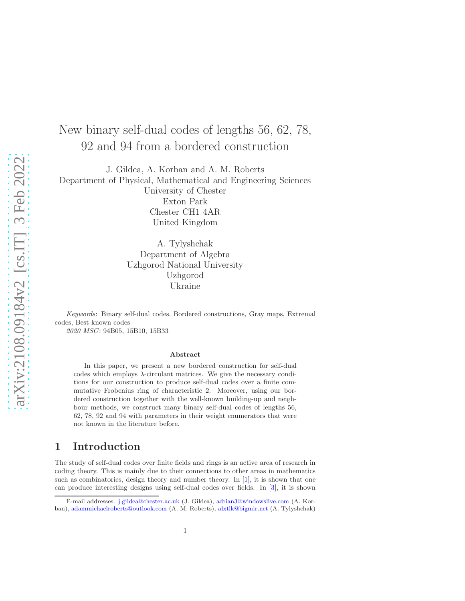# New binary self-dual codes of lengths 56, 62, 78, 92 and 94 from a bordered construction

J. Gildea, A. Korban and A. M. Roberts Department of Physical, Mathematical and Engineering Sciences University of Chester Exton Park Chester CH1 4AR United Kingdom

> A. Tylyshchak Department of Algebra Uzhgorod National University Uzhgorod Ukraine

Keywords: Binary self-dual codes, Bordered constructions, Gray maps, Extremal codes, Best known codes

2020 MSC: 94B05, 15B10, 15B33

#### Abstract

In this paper, we present a new bordered construction for self-dual codes which employs  $\lambda$ -circulant matrices. We give the necessary conditions for our construction to produce self-dual codes over a finite commutative Frobenius ring of characteristic 2. Moreover, using our bordered construction together with the well-known building-up and neighbour methods, we construct many binary self-dual codes of lengths 56, 62, 78, 92 and 94 with parameters in their weight enumerators that were not known in the literature before.

### 1 Introduction

The study of self-dual codes over finite fields and rings is an active area of research in coding theory. This is mainly due to their connections to other areas in mathematics such as combinatorics, design theory and number theory. In [\[1](#page-15-0)], it is shown that one can produce interesting designs using self-dual codes over fields. In [\[3\]](#page-15-1), it is shown

E-mail addresses: [j.gildea@chester.ac.uk](mailto:j.gildea@chester.ac.uk) (J. Gildea), [adrian3@windowslive.com](mailto:adrian3@windowslive.com) (A. Korban), [adammichaelroberts@outlook.com](mailto:adammichaelroberts@outlook.com) (A. M. Roberts), [alxtlk@bigmir.net](mailto:) (A. Tylyshchak)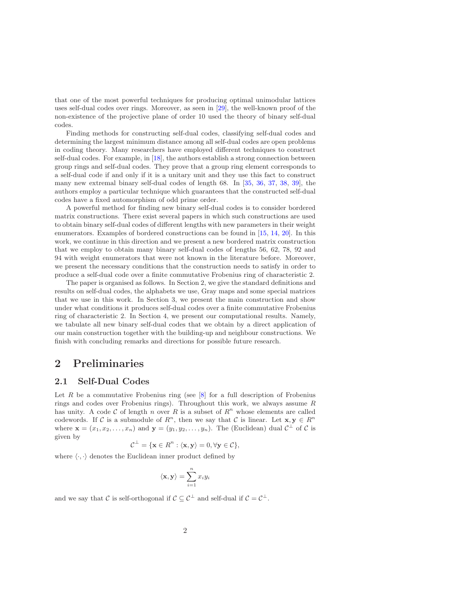that one of the most powerful techniques for producing optimal unimodular lattices uses self-dual codes over rings. Moreover, as seen in [\[29](#page-17-0)], the well-known proof of the non-existence of the projective plane of order 10 used the theory of binary self-dual codes.

Finding methods for constructing self-dual codes, classifying self-dual codes and determining the largest minimum distance among all self-dual codes are open problems in coding theory. Many researchers have employed different techniques to construct self-dual codes. For example, in [\[18](#page-16-0)], the authors establish a strong connection between group rings and self-dual codes. They prove that a group ring element corresponds to a self-dual code if and only if it is a unitary unit and they use this fact to construct many new extremal binary self-dual codes of length 68. In [\[35](#page-17-1), [36](#page-17-2), [37,](#page-17-3) [38](#page-17-4), [39\]](#page-17-5), the authors employ a particular technique which guarantees that the constructed self-dual codes have a fixed automorphism of odd prime order.

A powerful method for finding new binary self-dual codes is to consider bordered matrix constructions. There exist several papers in which such constructions are used to obtain binary self-dual codes of different lengths with new parameters in their weight enumerators. Examples of bordered constructions can be found in [\[15](#page-16-1), [14,](#page-16-2) [20](#page-16-3)]. In this work, we continue in this direction and we present a new bordered matrix construction that we employ to obtain many binary self-dual codes of lengths 56, 62, 78, 92 and 94 with weight enumerators that were not known in the literature before. Moreover, we present the necessary conditions that the construction needs to satisfy in order to produce a self-dual code over a finite commutative Frobenius ring of characteristic 2.

The paper is organised as follows. In Section 2, we give the standard definitions and results on self-dual codes, the alphabets we use, Gray maps and some special matrices that we use in this work. In Section 3, we present the main construction and show under what conditions it produces self-dual codes over a finite commutative Frobenius ring of characteristic 2. In Section 4, we present our computational results. Namely, we tabulate all new binary self-dual codes that we obtain by a direct application of our main construction together with the building-up and neighbour constructions. We finish with concluding remarks and directions for possible future research.

### 2 Preliminaries

#### 2.1 Self-Dual Codes

Let  $R$  be a commutative Frobenius ring (see  $[8]$  for a full description of Frobenius rings and codes over Frobenius rings). Throughout this work, we always assume  $R$ has unity. A code C of length n over R is a subset of  $R^n$  whose elements are called codewords. If C is a submodule of  $R<sup>n</sup>$ , then we say that C is linear. Let  $\mathbf{x}, \mathbf{y} \in R<sup>n</sup>$ where  $\mathbf{x} = (x_1, x_2, \dots, x_n)$  and  $\mathbf{y} = (y_1, y_2, \dots, y_n)$ . The (Euclidean) dual  $C^{\perp}$  of C is given by

$$
\mathcal{C}^{\perp} = \{ \mathbf{x} \in R^n : \langle \mathbf{x}, \mathbf{y} \rangle = 0, \forall \mathbf{y} \in \mathcal{C} \},
$$

where  $\langle \cdot, \cdot \rangle$  denotes the Euclidean inner product defined by

$$
\langle \mathbf{x}, \mathbf{y} \rangle = \sum_{i=1}^{n} x_i y_i
$$

and we say that C is self-orthogonal if  $C \subseteq C^{\perp}$  and self-dual if  $C = C^{\perp}$ .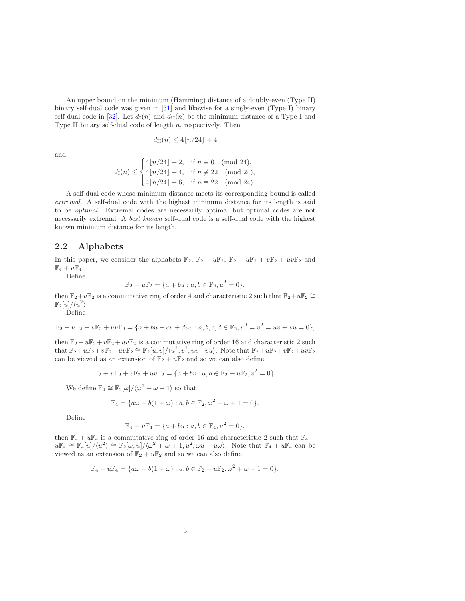An upper bound on the minimum (Hamming) distance of a doubly-even (Type II) binary self-dual code was given in [\[31](#page-17-6)] and likewise for a singly-even (Type I) binary self-dual code in [\[32](#page-17-7)]. Let  $d_1(n)$  and  $d_{II}(n)$  be the minimum distance of a Type I and Type II binary self-dual code of length  $n$ , respectively. Then

and

$$
d_{\text{II}}(n) \le 4\lfloor n/24\rfloor + 4
$$

$$
d_{\rm I}(n) \leq \begin{cases} 4\lfloor n/24 \rfloor + 2, & \text{if } n \equiv 0 \pmod{24}, \\ 4\lfloor n/24 \rfloor + 4, & \text{if } n \not\equiv 22 \pmod{24}, \\ 4\lfloor n/24 \rfloor + 6, & \text{if } n \equiv 22 \pmod{24}. \end{cases}
$$

A self-dual code whose minimum distance meets its corresponding bound is called extremal. A self-dual code with the highest minimum distance for its length is said to be optimal. Extremal codes are necessarily optimal but optimal codes are not necessarily extremal. A best known self-dual code is a self-dual code with the highest known minimum distance for its length.

#### 2.2 Alphabets

In this paper, we consider the alphabets  $\mathbb{F}_2$ ,  $\mathbb{F}_2 + u\mathbb{F}_2$ ,  $\mathbb{F}_2 + u\mathbb{F}_2 + v\mathbb{F}_2 + uv\mathbb{F}_2$  and  $\mathbb{F}_4 + u\mathbb{F}_4.$ 

Define

$$
\mathbb{F}_2 + u\mathbb{F}_2 = \{a + bu : a, b \in \mathbb{F}_2, u^2 = 0\},\
$$

then  $\mathbb{F}_2+u\mathbb{F}_2$  is a commutative ring of order 4 and characteristic 2 such that  $\mathbb{F}_2+u\mathbb{F}_2 \cong$  $\mathbb{F}_2[u]/\langle u^2 \rangle$ .

Define

$$
\mathbb{F}_2 + u\mathbb{F}_2 + v\mathbb{F}_2 + uv\mathbb{F}_2 = \{a + bu + cv + duv : a, b, c, d \in \mathbb{F}_2, u^2 = v^2 = uv + vu = 0\},\
$$

then  $\mathbb{F}_2 + u\mathbb{F}_2 + v\mathbb{F}_2 + uv\mathbb{F}_2$  is a commutative ring of order 16 and characteristic 2 such that  $\mathbb{F}_2+u\mathbb{F}_2+v\mathbb{F}_2+uv\mathbb{F}_2 \cong \mathbb{F}_2[u,v]/\langle u^2,v^2,uv+vu\rangle$ . Note that  $\mathbb{F}_2+u\mathbb{F}_2+v\mathbb{F}_2+uv\mathbb{F}_2$ can be viewed as an extension of  $\mathbb{F}_2 + u\mathbb{F}_2$  and so we can also define

$$
\mathbb{F}_2 + u\mathbb{F}_2 + v\mathbb{F}_2 + uv\mathbb{F}_2 = \{a + bv : a, b \in \mathbb{F}_2 + u\mathbb{F}_2, v^2 = 0\}.
$$

We define  $\mathbb{F}_4 \cong \mathbb{F}_2[\omega]/\langle \omega^2 + \omega + 1 \rangle$  so that

$$
\mathbb{F}_4 = \{ a\omega + b(1+\omega) : a, b \in \mathbb{F}_2, \omega^2 + \omega + 1 = 0 \}.
$$

Define

$$
\mathbb{F}_4 + u\mathbb{F}_4 = \{a + bu : a, b \in \mathbb{F}_4, u^2 = 0\},\
$$

then  $\mathbb{F}_4 + u\mathbb{F}_4$  is a commutative ring of order 16 and characteristic 2 such that  $\mathbb{F}_4$  +  $u\mathbb{F}_4 \cong \mathbb{F}_4[u]/\langle u^2 \rangle \cong \mathbb{F}_2[\omega, u]/\langle \omega^2 + \omega + 1, u^2, \omega u + u\omega \rangle$ . Note that  $\mathbb{F}_4 + u\mathbb{F}_4$  can be viewed as an extension of  $\mathbb{F}_2 + u\mathbb{F}_2$  and so we can also define

$$
\mathbb{F}_4 + u\mathbb{F}_4 = \{a\omega + b(1+\omega) : a, b \in \mathbb{F}_2 + u\mathbb{F}_2, \omega^2 + \omega + 1 = 0\}.
$$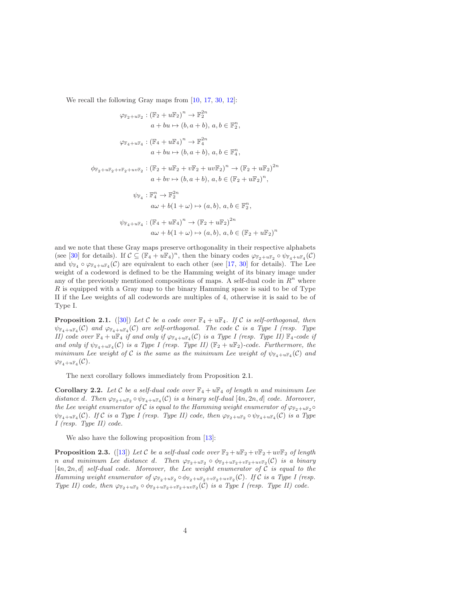We recall the following Gray maps from  $[10, 17, 30, 12]$  $[10, 17, 30, 12]$  $[10, 17, 30, 12]$  $[10, 17, 30, 12]$  $[10, 17, 30, 12]$  $[10, 17, 30, 12]$  $[10, 17, 30, 12]$ :

$$
\varphi_{\mathbb{F}_2 + u\mathbb{F}_2} : (\mathbb{F}_2 + u\mathbb{F}_2)^n \to \mathbb{F}_2^{2n}
$$
  
\n
$$
a + bu \mapsto (b, a + b), a, b \in \mathbb{F}_2^n,
$$
  
\n
$$
\varphi_{\mathbb{F}_4 + u\mathbb{F}_4} : (\mathbb{F}_4 + u\mathbb{F}_4)^n \to \mathbb{F}_4^{2n}
$$
  
\n
$$
a + bu \mapsto (b, a + b), a, b \in \mathbb{F}_4^n,
$$
  
\n
$$
\phi_{\mathbb{F}_2 + u\mathbb{F}_2 + v\mathbb{F}_2 + uv\mathbb{F}_2} : (\mathbb{F}_2 + u\mathbb{F}_2 + v\mathbb{F}_2 + uv\mathbb{F}_2)^n \to (\mathbb{F}_2 + u\mathbb{F}_2)^{2n}
$$
  
\n
$$
a + bv \mapsto (b, a + b), a, b \in (\mathbb{F}_2 + u\mathbb{F}_2)^n,
$$
  
\n
$$
\psi_{\mathbb{F}_4} : \mathbb{F}_4^n \to \mathbb{F}_2^{2n}
$$
  
\n
$$
a\omega + b(1 + \omega) \mapsto (a, b), a, b \in \mathbb{F}_2^n,
$$
  
\n
$$
\psi_{\mathbb{F}_4 + u\mathbb{F}_4} : (\mathbb{F}_4 + u\mathbb{F}_4)^n \to (\mathbb{F}_2 + u\mathbb{F}_2)^{2n}
$$
  
\n
$$
a\omega + b(1 + \omega) \mapsto (a, b), a, b \in (\mathbb{F}_2 + u\mathbb{F}_2)^n
$$

and we note that these Gray maps preserve orthogonality in their respective alphabets (see [\[30](#page-17-8)] for details). If  $\mathcal{C} \subseteq (\mathbb{F}_4 + u\mathbb{F}_4)^n$ , then the binary codes  $\varphi_{\mathbb{F}_2 + u\mathbb{F}_2} \circ \psi_{\mathbb{F}_4 + u\mathbb{F}_4}(\mathcal{C})$ and  $\psi_{\mathbb{F}_4} \circ \varphi_{\mathbb{F}_4+u\mathbb{F}_4}(\mathcal{C})$  are equivalent to each other (see [\[17](#page-16-5), [30](#page-17-8)] for details). The Lee weight of a codeword is defined to be the Hamming weight of its binary image under any of the previously mentioned compositions of maps. A self-dual code in  $R<sup>n</sup>$  where R is equipped with a Gray map to the binary Hamming space is said to be of Type II if the Lee weights of all codewords are multiples of 4, otherwise it is said to be of Type I.

<span id="page-3-0"></span>**Proposition 2.1.** ([\[30](#page-17-8)]) Let C be a code over  $\mathbb{F}_4 + u\mathbb{F}_4$ . If C is self-orthogonal, then  $\psi_{\mathbb{F}_4+\mu\mathbb{F}_4}(\mathcal{C})$  and  $\varphi_{\mathbb{F}_4+\mu\mathbb{F}_4}(\mathcal{C})$  are self-orthogonal. The code C is a Type I (resp. Type II) code over  $\mathbb{F}_4 + u\mathbb{F}_4$  if and only if  $\varphi_{\mathbb{F}_4+u\mathbb{F}_4}(\mathcal{C})$  is a Type I (resp. Type II)  $\mathbb{F}_4$ -code if and only if  $\psi_{\mathbb{F}_4+u\mathbb{F}_4}(\mathcal{C})$  is a Type I (resp. Type II)  $(\mathbb{F}_2+u\mathbb{F}_2)$ -code. Furthermore, the minimum Lee weight of C is the same as the minimum Lee weight of  $\psi_{\mathbb{F}_4+u\mathbb{F}_4}(\mathcal{C})$  and  $\varphi_{\mathbb{F}_4+u\mathbb{F}_4}(\mathcal{C})$  .

The next corollary follows immediately from Proposition [2.1.](#page-3-0)

**Corollary 2.2.** Let C be a self-dual code over  $\mathbb{F}_4 + u\mathbb{F}_4$  of length n and minimum Lee distance d. Then  $\varphi_{\mathbb{F}_2+u\mathbb{F}_2} \circ \psi_{\mathbb{F}_4+u\mathbb{F}_4}(\mathcal{C})$  is a binary self-dual  $[4n, 2n, d]$  code. Moreover, the Lee weight enumerator of C is equal to the Hamming weight enumerator of  $\varphi_{F_2+uF_2} \circ$  $\psi_{\mathbb{F}_4+u\mathbb{F}_4}(\mathcal{C})$ . If C is a Type I (resp. Type II) code, then  $\varphi_{\mathbb{F}_2+u\mathbb{F}_2} \circ \psi_{\mathbb{F}_4+u\mathbb{F}_4}(\mathcal{C})$  is a Type I (resp. Type II) code.

We also have the following proposition from [\[13](#page-16-7)]:

**Proposition 2.3.** ([\[13](#page-16-7)]) Let C be a self-dual code over  $\mathbb{F}_2 + u\mathbb{F}_2 + v\mathbb{F}_2 + uv\mathbb{F}_2$  of length n and minimum Lee distance d. Then  $\varphi_{\mathbb{F}_2+u\mathbb{F}_2} \circ \varphi_{\mathbb{F}_2+u\mathbb{F}_2+v\mathbb{F}_2+uv\mathbb{F}_2}(\mathcal{C})$  is a binary  $[4n, 2n, d]$  self-dual code. Moreover, the Lee weight enumerator of C is equal to the Hamming weight enumerator of  $\varphi_{\mathbb{F}_2+u\mathbb{F}_2} \circ \varphi_{\mathbb{F}_2+u\mathbb{F}_2+v\mathbb{F}_2+uv\mathbb{F}_2}(\mathcal{C})$ . If C is a Type I (resp. Type II) code, then  $\varphi_{\mathbb{F}_2+u\mathbb{F}_2} \circ \varphi_{\mathbb{F}_2+u\mathbb{F}_2+v\mathbb{F}_2+uv\mathbb{F}_2}(\mathcal{C})$  is a Type I (resp. Type II) code.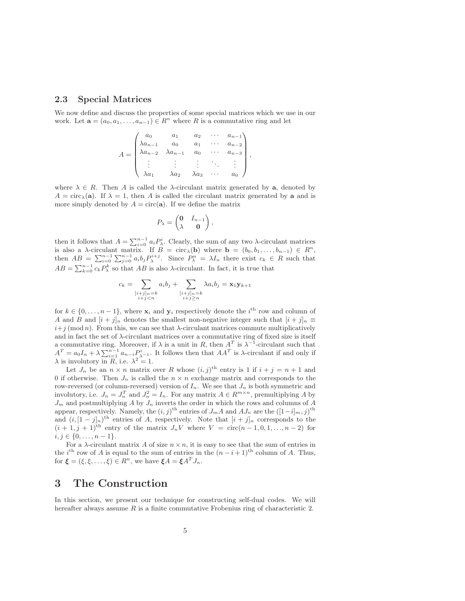#### 2.3 Special Matrices

We now define and discuss the properties of some special matrices which we use in our work. Let  $\mathbf{a} = (a_0, a_1, \dots, a_{n-1}) \in R^n$  where R is a commutative ring and let

$$
A = \begin{pmatrix} a_0 & a_1 & a_2 & \cdots & a_{n-1} \\ \lambda a_{n-1} & a_0 & a_1 & \cdots & a_{n-2} \\ \lambda a_{n-2} & \lambda a_{n-1} & a_0 & \cdots & a_{n-3} \\ \vdots & \vdots & \vdots & \ddots & \vdots \\ \lambda a_1 & \lambda a_2 & \lambda a_3 & \cdots & a_0 \end{pmatrix},
$$

where  $\lambda \in R$ . Then A is called the  $\lambda$ -circulant matrix generated by a, denoted by  $A = \text{circ}_\lambda(\mathbf{a})$ . If  $\lambda = 1$ , then A is called the circulant matrix generated by a and is more simply denoted by  $A = \text{circ}(\mathbf{a})$ . If we define the matrix

$$
P_{\lambda} = \begin{pmatrix} \mathbf{0} & I_{n-1} \\ \lambda & \mathbf{0} \end{pmatrix},
$$

then it follows that  $A = \sum_{i=0}^{n-1} a_i P_{\lambda}^i$ . Clearly, the sum of any two  $\lambda$ -circulant matrices is also a  $\lambda$ -circulant matrix. If  $B = \text{circ}_{\lambda}(\mathbf{b})$  where  $\mathbf{b} = (b_0, b_1, \ldots, b_{n-1}) \in R^n$ , then  $AB = \sum_{i=0}^{n-1} \sum_{j=0}^{n-1} a_i b_j P_{\lambda}^{i+j}$ . Since  $P_{\lambda}^{n} = \lambda I_n$  there exist  $c_k \in R$  such that  $AB = \sum_{k=0}^{n-1} c_k P_{\lambda}^k$  so that  $AB$  is also  $\lambda$ -circulant. In fact, it is true that

$$
c_k = \sum_{\substack{[i+j]_n=k\\i+j < n}} a_i b_j + \sum_{\substack{[i+j]_n=k\\i+j \ge n}} \lambda a_i b_j = \mathbf{x}_1 \mathbf{y}_{k+1}
$$

for  $k \in \{0, \ldots, n-1\}$ , where  $\mathbf{x}_i$  and  $\mathbf{y}_i$  respectively denote the  $i^{\text{th}}$  row and column of A and B and  $[i + j]_n$  denotes the smallest non-negative integer such that  $[i + j]_n \equiv$  $i+j \pmod{n}$ . From this, we can see that  $\lambda$ -circulant matrices commute multiplicatively and in fact the set of  $\lambda$ -circulant matrices over a commutative ring of fixed size is itself a commutative ring. Moreover, if  $\lambda$  is a unit in R, then  $A<sup>T</sup>$  is  $\lambda^{-1}$ -circulant such that  $A^T = a_0 I_n + \lambda \sum_{i=1}^{n-1} a_{n-i} P^i_{\lambda^{-1}}$ . It follows then that  $AA^T$  is  $\lambda$ -circulant if and only if  $\lambda$  is involutory in R, i.e.  $\lambda^2 = 1$ .

Let  $J_n$  be an  $n \times n$  matrix over R whose  $(i, j)$ <sup>th</sup> entry is 1 if  $i + j = n + 1$  and 0 if otherwise. Then  $J_n$  is called the  $n \times n$  exchange matrix and corresponds to the row-reversed (or column-reversed) version of  $I_n$ . We see that  $J_n$  is both symmetric and involutory, i.e.  $J_n = J_n^T$  and  $J_n^2 = I_n$ . For any matrix  $A \in R^{m \times n}$ , premultiplying A by  $J_m$  and postmultiplying A by  $J_n$  inverts the order in which the rows and columns of A appear, respectively. Namely, the  $(i, j)$ <sup>th</sup> entries of  $J_m A$  and  $AJ_n$  are the  $([1-i]_m, j)$ <sup>th</sup> and  $(i, [1-j]_n)$ <sup>th</sup> entries of A, respectively. Note that  $[i+j]_n$  corresponds to the  $(i + 1, j + 1)$ <sup>th</sup> entry of the matrix  $J_n V$  where  $V = \text{circ}(n - 1, 0, 1, \ldots, n - 2)$  for  $i, j \in \{0, \ldots, n-1\}.$ 

For a  $\lambda$ -circulant matrix A of size  $n \times n$ , it is easy to see that the sum of entries in the i<sup>th</sup> row of A is equal to the sum of entries in the  $(n-i+1)$ <sup>th</sup> column of A. Thus, for  $\boldsymbol{\xi} = (\xi, \xi, \dots, \xi) \in R^n$ , we have  $\boldsymbol{\xi} A = \boldsymbol{\xi} A^T J_n$ .

### 3 The Construction

In this section, we present our technique for constructing self-dual codes. We will hereafter always assume  $R$  is a finite commutative Frobenius ring of characteristic 2.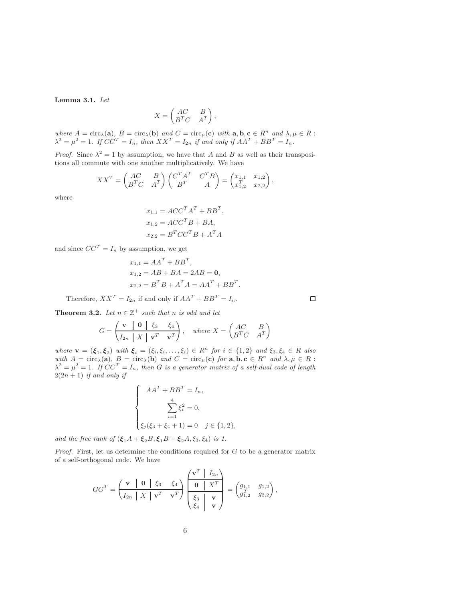<span id="page-5-0"></span>Lemma 3.1. Let

$$
X = \begin{pmatrix} AC & B \\ B^T C & A^T \end{pmatrix},
$$

where  $A = \text{circ}_{\lambda}(\mathbf{a}), B = \text{circ}_{\lambda}(\mathbf{b})$  and  $C = \text{circ}_{\mu}(\mathbf{c})$  with  $\mathbf{a}, \mathbf{b}, \mathbf{c} \in R^n$  and  $\lambda, \mu \in R$ :  $\lambda^2 = \mu^2 = 1$ . If  $CC^T = I_n$ , then  $XX^T = I_{2n}$  if and only if  $AA^T + BB^T = I_n$ .

*Proof.* Since  $\lambda^2 = 1$  by assumption, we have that A and B as well as their transpositions all commute with one another multiplicatively. We have

$$
XX^T = \begin{pmatrix} AC & B \\ B^T C & A^T \end{pmatrix} \begin{pmatrix} C^T A^T & C^T B \\ B^T & A \end{pmatrix} = \begin{pmatrix} x_{1,1} & x_{1,2} \\ x_{1,2}^T & x_{2,2} \end{pmatrix},
$$

where

$$
x_{1,1} = ACC^{T}A^{T} + BB^{T},
$$
  
\n
$$
x_{1,2} = ACC^{T}B + BA,
$$
  
\n
$$
x_{2,2} = B^{T}CC^{T}B + A^{T}A
$$

and since  $CC^T = I_n$  by assumption, we get

$$
x_{1,1} = AAT + BBT,
$$
  
\n
$$
x_{1,2} = AB + BA = 2AB = 0,
$$
  
\n
$$
x_{2,2} = BTB + ATA = AAT + BBT.
$$

Therefore,  $XX^T = I_{2n}$  if and only if  $AA^T + BB^T = I_n$ .

<span id="page-5-1"></span>**Theorem 3.2.** Let  $n \in \mathbb{Z}^+$  such that n is odd and let

$$
G = \begin{pmatrix} \mathbf{v} & \mathbf{0} & \xi_3 & \xi_4 \\ I_{2n} & X & \mathbf{v}^T & \mathbf{v}^T \end{pmatrix}, \quad \text{where } X = \begin{pmatrix} AC & B \\ B^T C & A^T \end{pmatrix}
$$

where  $\mathbf{v} = (\xi_1, \xi_2)$  with  $\xi_i = (\xi_i, \xi_i, \dots, \xi_i) \in R^n$  for  $i \in \{1, 2\}$  and  $\xi_3, \xi_4 \in R$  also with  $A = \text{circ}_{\lambda}(\mathbf{a}), B = \text{circ}_{\lambda}(\mathbf{b})$  and  $C = \text{circ}_{\mu}(\mathbf{c})$  for  $\mathbf{a}, \mathbf{b}, \mathbf{c} \in \mathbb{R}^n$  and  $\lambda, \mu \in \mathbb{R}$ :  $\lambda^2 = \mu^2 = 1$ . If  $CC^T = I_n$ , then G is a generator matrix of a self-dual code of length  $2(2n + 1)$  if and only if

$$
\begin{cases}\nAA^T + BB^T = I_n, \\
\sum_{i=1}^4 \xi_i^2 = 0, \\
\xi_j(\xi_3 + \xi_4 + 1) = 0 \quad j \in \{1, 2\},\n\end{cases}
$$

and the free rank of  $(\xi_1A + \xi_2B, \xi_1B + \xi_2A, \xi_3, \xi_4)$  is 1.

*Proof.* First, let us determine the conditions required for  $G$  to be a generator matrix of a self-orthogonal code. We have

$$
GG^{T} = \left(\begin{array}{c|c|c}\n\mathbf{v} & \mathbf{0} & \xi_3 & \xi_4 \\
\hline\nI_{2n} & X & \mathbf{v}^T & \mathbf{v}^T\n\end{array}\right) \left(\begin{array}{c|c}\n\mathbf{v}^T & I_{2n} \\
\hline\n\mathbf{0} & X^T \\
\xi_3 & \mathbf{v} \\
\xi_4 & \mathbf{v}\n\end{array}\right) = \left(\begin{array}{c|c}\ng_{1,1} & g_{1,2} \\
g_{1,2}^T & g_{2,2}\n\end{array}\right),
$$

 $\Box$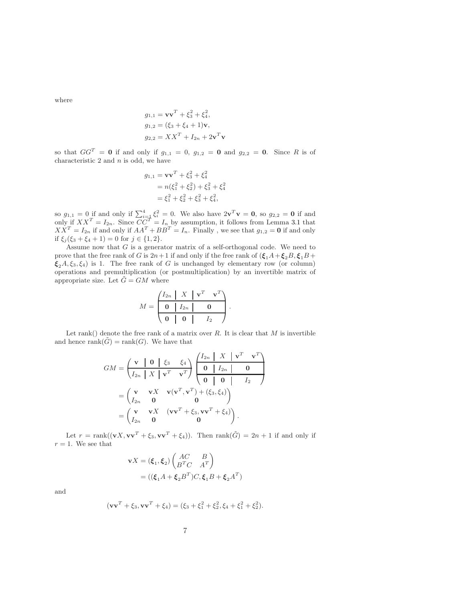where

$$
g_{1,1} = \mathbf{v}\mathbf{v}^T + \xi_3^2 + \xi_4^2,
$$
  
\n
$$
g_{1,2} = (\xi_3 + \xi_4 + 1)\mathbf{v},
$$
  
\n
$$
g_{2,2} = XX^T + I_{2n} + 2\mathbf{v}^T\mathbf{v}
$$

so that  $GG<sup>T</sup> = 0$  if and only if  $g_{1,1} = 0$ ,  $g_{1,2} = 0$  and  $g_{2,2} = 0$ . Since R is of characteristic  $2$  and  $n$  is odd, we have

$$
g_{1,1} = \mathbf{v}\mathbf{v}^T + \xi_3^2 + \xi_4^2
$$
  
=  $n(\xi_1^2 + \xi_2^2) + \xi_3^2 + \xi_4^2$   
=  $\xi_1^2 + \xi_2^2 + \xi_3^2 + \xi_4^2$ ,

so  $g_{1,1} = 0$  if and only if  $\sum_{i=1}^{4} \xi_i^2 = 0$ . We also have  $2\mathbf{v}^T \mathbf{v} = \mathbf{0}$ , so  $g_{2,2} = \mathbf{0}$  if and only if  $XX^T = I_{2n}$ . Since  $CC^T = I_n$  by assumption, it follows from Lemma [3.1](#page-5-0) that  $XX^T = I_{2n}$  if and only if  $AA^T + BB^T = I_n$ . Finally, we see that  $g_{1,2} = 0$  if and only if  $\xi_j(\xi_3 + \xi_4 + 1) = 0$  for  $j \in \{1, 2\}.$ 

Assume now that  $G$  is a generator matrix of a self-orthogonal code. We need to prove that the free rank of G is  $2n+1$  if and only if the free rank of  $(\xi_1A+\xi_2B,\xi_1B+\xi_2B)$  $\xi_2$  A,  $\xi_3$ ,  $\xi_4$ ) is 1. The free rank of G is unchanged by elementary row (or column) operations and premultiplication (or postmultiplication) by an invertible matrix of appropriate size. Let  $\tilde{G} = GM$  where

$$
M = \begin{pmatrix} I_{2n} & X & \mathbf{v}^T & \mathbf{v}^T \\ \hline \mathbf{0} & I_{2n} & \mathbf{0} \\ \hline \mathbf{0} & \mathbf{0} & I_2 \end{pmatrix}.
$$

Let rank() denote the free rank of a matrix over  $R$ . It is clear that  $M$  is invertible and hence  $\text{rank}(\tilde{G}) = \text{rank}(G)$ . We have that

$$
GM = \begin{pmatrix} \mathbf{v} & \mathbf{0} & \xi_3 & \xi_4 \\ I_{2n} & X & \mathbf{v}^T & \mathbf{v}^T \end{pmatrix} \begin{pmatrix} I_{2n} & X & \mathbf{v}^T & \mathbf{v}^T \\ \mathbf{0} & I_{2n} & \mathbf{0} \\ \mathbf{0} & \mathbf{0} & I_{2n} \end{pmatrix}
$$

$$
= \begin{pmatrix} \mathbf{v} & \mathbf{v}X & \mathbf{v}(\mathbf{v}^T, \mathbf{v}^T) + (\xi_3, \xi_4) \\ I_{2n} & \mathbf{0} & \mathbf{0} \end{pmatrix}
$$

$$
= \begin{pmatrix} \mathbf{v} & \mathbf{v}X & (\mathbf{v}\mathbf{v}^T + \xi_3, \mathbf{v}\mathbf{v}^T + \xi_4) \\ I_{2n} & \mathbf{0} & \mathbf{0} \end{pmatrix}.
$$

Let  $r = \text{rank}((\mathbf{v}X, \mathbf{v}\mathbf{v}^T + \xi_3, \mathbf{v}\mathbf{v}^T + \xi_4)).$  Then  $\text{rank}(\tilde{G}) = 2n + 1$  if and only if  $r = 1$ . We see that

$$
\mathbf{v}X = (\xi_1, \xi_2) \begin{pmatrix} AC & B \\ B^T C & A^T \end{pmatrix}
$$
  
= ((\xi\_1A + \xi\_2B^T)C, \xi\_1B + \xi\_2A^T)

and

$$
(\mathbf{v}\mathbf{v}^T + \xi_3, \mathbf{v}\mathbf{v}^T + \xi_4) = (\xi_3 + \xi_1^2 + \xi_2^2, \xi_4 + \xi_1^2 + \xi_2^2).
$$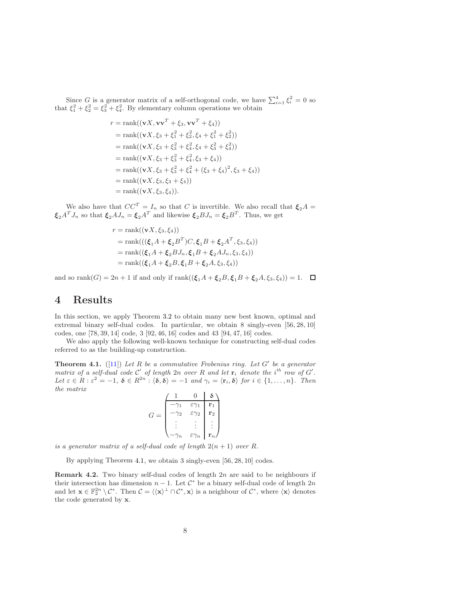Since G is a generator matrix of a self-orthogonal code, we have  $\sum_{i=1}^{4} \xi_i^2 = 0$  so that  $\xi_1^2 + \xi_2^2 = \xi_3^2 + \xi_4^2$ . By elementary column operations we obtain

$$
r = \text{rank}((\mathbf{v}X, \mathbf{v}\mathbf{v}^T + \xi_3, \mathbf{v}\mathbf{v}^T + \xi_4))
$$
  
\n
$$
= \text{rank}((\mathbf{v}X, \xi_3 + \xi_1^2 + \xi_2^2, \xi_4 + \xi_1^2 + \xi_2^2))
$$
  
\n
$$
= \text{rank}((\mathbf{v}X, \xi_3 + \xi_3^2 + \xi_4^2, \xi_4 + \xi_3^2 + \xi_4^2))
$$
  
\n
$$
= \text{rank}((\mathbf{v}X, \xi_3 + \xi_3^2 + \xi_4^2, \xi_3 + \xi_4))
$$
  
\n
$$
= \text{rank}((\mathbf{v}X, \xi_3 + \xi_3^2 + \xi_4^2 + (\xi_3 + \xi_4)^2, \xi_3 + \xi_4))
$$
  
\n
$$
= \text{rank}((\mathbf{v}X, \xi_3, \xi_3 + \xi_4))
$$
  
\n
$$
= \text{rank}((\mathbf{v}X, \xi_3, \xi_4)).
$$

We also have that  $CC^T = I_n$  so that C is invertible. We also recall that  $\xi_2 A =$  $\xi_2 A^T J_n$  so that  $\xi_2 A J_n = \xi_2 A^T$  and likewise  $\xi_2 B J_n = \xi_2 B^T$ . Thus, we get

$$
r = \text{rank}((\mathbf{v}X, \xi_3, \xi_4))
$$
  
= rank(((\xi\_1A + \xi\_2B^T)C, \xi\_1B + \xi\_2A^T, \xi\_3, \xi\_4))  
= rank((\xi\_1A + \xi\_2BJ\_n, \xi\_1B + \xi\_2AJ\_n, \xi\_3, \xi\_4))  
= rank((\xi\_1A + \xi\_2B, \xi\_1B + \xi\_2A, \xi\_3, \xi\_4))

and so rank $(G) = 2n + 1$  if and only if  $rank((\xi_1 A + \xi_2 B, \xi_1 B + \xi_2 A, \xi_3, \xi_4)) = 1.$ 

### 4 Results

In this section, we apply Theorem [3.2](#page-5-1) to obtain many new best known, optimal and extremal binary self-dual codes. In particular, we obtain 8 singly-even [56, 28, 10] codes, one [78, 39, 14] code, 3 [92, 46, 16] codes and 43 [94, 47, 16] codes.

We also apply the following well-known technique for constructing self-dual codes referred to as the building-up construction.

<span id="page-7-0"></span>**Theorem 4.1.** ([\[11](#page-16-8)]) Let R be a commutative Frobenius ring. Let  $G'$  be a generator matrix of a self-dual code  $\mathcal{C}'$  of length  $2n$  over R and let  $\mathbf{r}_i$  denote the  $i^{th}$  row of  $G'$ . Let  $\varepsilon \in R : \varepsilon^2 = -1$ ,  $\delta \in R^{2n} : \langle \delta, \delta \rangle = -1$  and  $\gamma_i = \langle \mathbf{r}_i, \delta \rangle$  for  $i \in \{1, ..., n\}$ . Then the matrix  $\overline{0}$   $\overline{1}$   $\overline{5}$ 

$$
G = \begin{pmatrix} 1 & 0 & \delta \\ -\gamma_1 & \varepsilon \gamma_1 & \mathbf{r}_1 \\ -\gamma_2 & \varepsilon \gamma_2 & \mathbf{r}_2 \\ \vdots & \vdots & \vdots \\ -\gamma_n & \varepsilon \gamma_n & \mathbf{r}_n \end{pmatrix}
$$

is a generator matrix of a self-dual code of length  $2(n + 1)$  over R.

By applying Theorem [4.1,](#page-7-0) we obtain 3 singly-even [56, 28, 10] codes.

<span id="page-7-1"></span>Remark 4.2. Two binary self-dual codes of length 2n are said to be neighbours if their intersection has dimension  $n-1$ . Let  $\mathcal{C}^*$  be a binary self-dual code of length  $2n$ and let  $\mathbf{x} \in \mathbb{F}_2^{2n} \setminus \mathcal{C}^*$ . Then  $\mathcal{C} = \langle \langle \mathbf{x} \rangle^{\perp} \cap \mathcal{C}^*, \mathbf{x} \rangle$  is a neighbour of  $\mathcal{C}^*$ , where  $\langle \mathbf{x} \rangle$  denotes the code generated by x.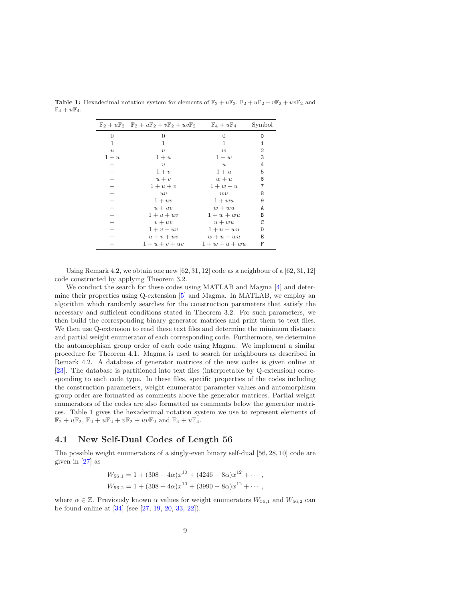|                  | $\mathbb{F}_2 + u\mathbb{F}_2$ $\mathbb{F}_2 + u\mathbb{F}_2 + v\mathbb{F}_2 + uv\mathbb{F}_2$ $\mathbb{F}_4 + u\mathbb{F}_4$ |                  | Symbol |
|------------------|-------------------------------------------------------------------------------------------------------------------------------|------------------|--------|
| 0                | 0                                                                                                                             | $\overline{0}$   | 0      |
| 1                | 1                                                                                                                             | 1                | 1      |
| $\boldsymbol{u}$ | $\boldsymbol{u}$                                                                                                              | w                | 2      |
| $1+u$            | $1+u$                                                                                                                         | $1+w$            | 3      |
|                  | $\upsilon$                                                                                                                    | $\boldsymbol{u}$ | 4      |
|                  | $1+v$                                                                                                                         | $1+u$            | 5      |
|                  | $u + v$                                                                                                                       | $w+u$            | 6      |
|                  | $1+u+v$                                                                                                                       | $1+w+u$          | 7      |
|                  | uv                                                                                                                            | $w\overline{u}$  | 8      |
|                  | $1 + uv$                                                                                                                      | $1 + w u$        | 9      |
|                  | $u + uv$                                                                                                                      | $w + wu$         | A      |
|                  | $1+u+uv$                                                                                                                      | $1 + w + wu$     | В      |
|                  | $v + uv$                                                                                                                      | $u + wu$         | C      |
|                  | $1+v+uv$                                                                                                                      | $1+u+wu$         | D      |
|                  | $u + v + uv$                                                                                                                  | $w + u + wu$     | Ε      |
|                  | $1+u+v+uv$                                                                                                                    | $1+w+u+wu$       | F      |

<span id="page-8-0"></span>**Table 1:** Hexadecimal notation system for elements of  $\mathbb{F}_2 + u\mathbb{F}_2$ ,  $\mathbb{F}_2 + u\mathbb{F}_2 + u\mathbb{F}_2 + uv\mathbb{F}_2$  and  $\mathbb{F}_4 + u\mathbb{F}_4.$ 

Using Remark [4.2,](#page-7-1) we obtain one new  $[62, 31, 12]$  code as a neighbour of a  $[62, 31, 12]$ code constructed by applying Theorem [3.2.](#page-5-1)

We conduct the search for these codes using MATLAB and Magma [\[4\]](#page-15-3) and determine their properties using Q-extension [\[5](#page-15-4)] and Magma. In MATLAB, we employ an algorithm which randomly searches for the construction parameters that satisfy the necessary and sufficient conditions stated in Theorem [3.2.](#page-5-1) For such parameters, we then build the corresponding binary generator matrices and print them to text files. We then use Q-extension to read these text files and determine the minimum distance and partial weight enumerator of each corresponding code. Furthermore, we determine the automorphism group order of each code using Magma. We implement a similar procedure for Theorem [4.1.](#page-7-0) Magma is used to search for neighbours as described in Remark [4.2.](#page-7-1) A database of generator matrices of the new codes is given online at [\[23\]](#page-16-9). The database is partitioned into text files (interpretable by Q-extension) corresponding to each code type. In these files, specific properties of the codes including the construction parameters, weight enumerator parameter values and automorphism group order are formatted as comments above the generator matrices. Partial weight enumerators of the codes are also formatted as comments below the generator matrices. Table [1](#page-8-0) gives the hexadecimal notation system we use to represent elements of  $\mathbb{F}_2 + u\mathbb{F}_2$ ,  $\mathbb{F}_2 + u\mathbb{F}_2 + v\mathbb{F}_2 + uv\mathbb{F}_2$  and  $\mathbb{F}_4 + u\mathbb{F}_4$ .

### 4.1 New Self-Dual Codes of Length 56

The possible weight enumerators of a singly-even binary self-dual [56, 28, 10] code are given in [\[27](#page-17-9)] as

$$
W_{56,1} = 1 + (308 + 4\alpha)x^{10} + (4246 - 8\alpha)x^{12} + \cdots,
$$
  
\n
$$
W_{56,2} = 1 + (308 + 4\alpha)x^{10} + (3990 - 8\alpha)x^{12} + \cdots,
$$

where  $\alpha \in \mathbb{Z}$ . Previously known  $\alpha$  values for weight enumerators  $W_{56,1}$  and  $W_{56,2}$  can be found online at [\[34](#page-17-10)] (see [\[27](#page-17-9), [19](#page-16-10), [20](#page-16-3), [33,](#page-17-11) [22\]](#page-16-11)).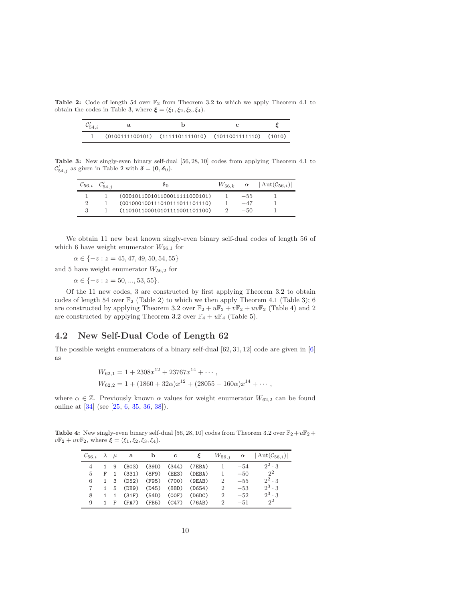<span id="page-9-1"></span>**Table 2:** Code of length 54 over  $\mathbb{F}_2$  from Theorem [3.2](#page-5-1) to which we apply Theorem [4.1](#page-7-0) to obtain the codes in Table [3,](#page-9-0) where  $\xi = (\xi_1, \xi_2, \xi_3, \xi_4)$ .

|  | $(0100111100101)$ $(1111101111010)$ $(1011001111110)$ $(1010)$ |  |
|--|----------------------------------------------------------------|--|

<span id="page-9-0"></span>Table 3: New singly-even binary self-dual [56, 28, 10] codes from applying Theorem [4.1](#page-7-0) to  $\mathcal{C}'_{54,j}$  as given in Table [2](#page-9-1) with  $\boldsymbol{\delta} = (0, \boldsymbol{\delta}_0)$ .

| $C_{56,i}$ | on                            | $W_{56\;k}$ | $\alpha$ | $ \mathrm{Aut}(\mathcal{C}_{56,i}) $ |
|------------|-------------------------------|-------------|----------|--------------------------------------|
|            | (000101100101100011111000101) |             | $-55$    |                                      |
|            | (001000100111010111011101110) |             | $-47$    |                                      |
|            | (110101100010101111001101100) |             | $-5()$   |                                      |

We obtain 11 new best known singly-even binary self-dual codes of length 56 of which 6 have weight enumerator  $W_{56,1}$  for

 $\alpha \in \{-z : z = 45, 47, 49, 50, 54, 55\}$ 

and 5 have weight enumerator  $W_{56,2}$  for

 $\alpha \in \{-z : z = 50, ..., 53, 55\}.$ 

Of the 11 new codes, 3 are constructed by first applying Theorem [3.2](#page-5-1) to obtain codes of length 54 over  $\mathbb{F}_2$  (Table [2\)](#page-9-1) to which we then apply Theorem [4.1](#page-7-0) (Table [3\)](#page-9-0); 6 are constructed by applying Theorem [3.2](#page-5-1) over  $\mathbb{F}_2 + u\mathbb{F}_2 + v\mathbb{F}_2 + uv\mathbb{F}_2$  (Table [4\)](#page-9-2) and 2 are constructed by applying Theorem [3.2](#page-5-1) over  $\mathbb{F}_4 + u\mathbb{F}_4$  (Table [5\)](#page-10-0).

#### 4.2 New Self-Dual Code of Length 62

The possible weight enumerators of a binary self-dual [62, 31, 12] code are given in [\[6](#page-15-5)] as

$$
W_{62,1} = 1 + 2308x^{12} + 23767x^{14} + \cdots,
$$
  
\n
$$
W_{62,2} = 1 + (1860 + 32\alpha)x^{12} + (28055 - 160\alpha)x^{14} + \cdots,
$$

where  $\alpha \in \mathbb{Z}$ . Previously known  $\alpha$  values for weight enumerator  $W_{62,2}$  can be found online at [\[34](#page-17-10)] (see [\[25](#page-17-12), [6](#page-15-5), [35](#page-17-1), [36](#page-17-2), [38\]](#page-17-4)).

<span id="page-9-2"></span>**Table 4:** New singly-even binary self-dual [56, 28, 10] codes from Theorem [3.2](#page-5-1) over  $\mathbb{F}_2 + u\mathbb{F}_2 +$  $v\mathbb{F}_2 + uv\mathbb{F}_2$ , where  $\xi = (\xi_1, \xi_2, \xi_3, \xi_4)$ .

| $\mathcal{C}_{56,i}$ $\lambda$ $\mu$ |  | - a                     | b | $\mathbf{c}$ | ε                              |                |       | $W_{56,i}$ $\alpha$ $ \text{Aut}(\mathcal{C}_{56,i}) $ |
|--------------------------------------|--|-------------------------|---|--------------|--------------------------------|----------------|-------|--------------------------------------------------------|
|                                      |  |                         |   |              | 1 9 (B03) (39D) (344) (7EBA)   |                | $-54$ | $2^2 \cdot 3$                                          |
| $\frac{5}{2}$                        |  |                         |   |              | F 1 (331) (8F9) (EE3) (DEBA) 1 |                | $-50$ | $2^2$                                                  |
| 6                                    |  |                         |   |              | 1 3 (D52) (F95) (700) (9EAB) 2 |                | $-55$ | $2^2 \cdot 3$                                          |
|                                      |  |                         |   |              | 1 5 (DB9) (D45) (88D) (D654)   | $\overline{2}$ | $-53$ | $2^3 \cdot 3$                                          |
| 8                                    |  | $1 \quad 1 \quad (31F)$ |   |              | $(54D)$ $(00F)$ $(DBDC)$       | $\mathcal{D}$  | $-52$ | $2^3 \cdot 3$                                          |
| 9                                    |  |                         |   |              | 1 F (FA7) (FB5) (C47) (76AB)   | 2              | $-51$ | $2^2$                                                  |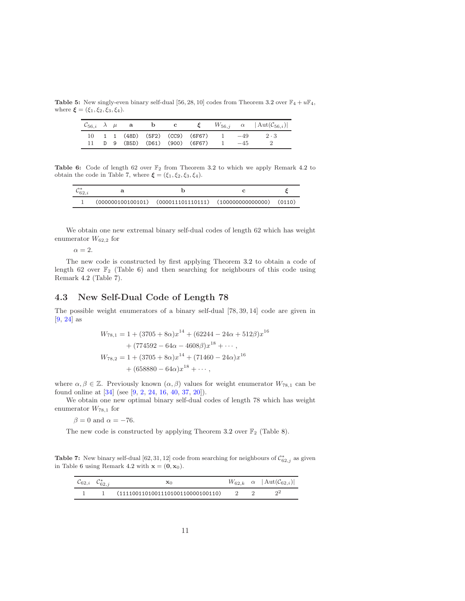<span id="page-10-0"></span>Table 5: New singly-even binary self-dual [56, 28, 10] codes from Theorem [3.2](#page-5-1) over  $\mathbb{F}_4 + u\mathbb{F}_4$ , where  $\xi = (\xi_1, \xi_2, \xi_3, \xi_4)$ .

|  | $\mathcal{C}_{56,i}$ $\lambda$ $\mu$ a b c |  |                                         |  | $\xi$ $W_{56,j}$ $\alpha$ $ \text{Aut}(\mathcal{C}_{56,i}) $ |
|--|--------------------------------------------|--|-----------------------------------------|--|--------------------------------------------------------------|
|  |                                            |  | 10 1 1 (48D) (5F2) (CC9) (6F67) 1 $-49$ |  | $2 \cdot 3$                                                  |
|  |                                            |  | 11 D 9 (B5D) (D61) (900) (6F67) $1 -45$ |  |                                                              |

<span id="page-10-2"></span>**Table 6:** Code of length 62 over  $\mathbb{F}_2$  from Theorem [3.2](#page-5-1) to which we apply Remark [4.2](#page-7-1) to obtain the code in Table [7,](#page-10-1) where  $\boldsymbol{\xi} = (\xi_1, \xi_2, \xi_3, \xi_4)$ .

|  | $(000000100100101)$ $(000011101110111)$ $(100000000000000)$ $(0110)$ |  |
|--|----------------------------------------------------------------------|--|

We obtain one new extremal binary self-dual codes of length 62 which has weight enumerator  $W_{62,2}$  for

 $\alpha = 2.$ 

The new code is constructed by first applying Theorem [3.2](#page-5-1) to obtain a code of length 62 over  $\mathbb{F}_2$  (Table [6\)](#page-10-2) and then searching for neighbours of this code using Remark [4.2](#page-7-1) (Table [7\)](#page-10-1).

#### 4.3 New Self-Dual Code of Length 78

The possible weight enumerators of a binary self-dual [78, 39, 14] code are given in [\[9](#page-15-6), [24\]](#page-16-12) as

$$
W_{78,1} = 1 + (3705 + 8\alpha)x^{14} + (62244 - 24\alpha + 512\beta)x^{16}
$$
  
+ 
$$
(774592 - 64\alpha - 4608\beta)x^{18} + \cdots,
$$
  

$$
W_{78,2} = 1 + (3705 + 8\alpha)x^{14} + (71460 - 24\alpha)x^{16}
$$
  
+ 
$$
(658880 - 64\alpha)x^{18} + \cdots,
$$

where  $\alpha, \beta \in \mathbb{Z}$ . Previously known  $(\alpha, \beta)$  values for weight enumerator  $W_{78,1}$  can be found online at [\[34](#page-17-10)] (see [\[9](#page-15-6), [2](#page-15-7), [24](#page-16-12), [16](#page-16-13), [40](#page-17-13), [37](#page-17-3), [20\]](#page-16-3)).

We obtain one new optimal binary self-dual codes of length 78 which has weight enumerator  $W_{78,1}$  for

 $\beta = 0$  and  $\alpha = -76$ .

The new code is constructed by applying Theorem [3.2](#page-5-1) over  $\mathbb{F}_2$  (Table [8\)](#page-11-0).

<span id="page-10-1"></span>**Table 7:** New binary self-dual [62, 31, 12] code from searching for neighbours of  $\mathcal{C}_{62,j}^*$  as given in Table [6](#page-10-2) using Remark [4.2](#page-7-1) with  $\mathbf{x} = (0, \mathbf{x}_0)$ .

| $\mathcal{C}_{62,i}$ |                                   |  | $W_{62,k}$ $\alpha$ $ \text{Aut}(\mathcal{C}_{62,i}) $ |
|----------------------|-----------------------------------|--|--------------------------------------------------------|
|                      | (1111001101001110100110000100110) |  |                                                        |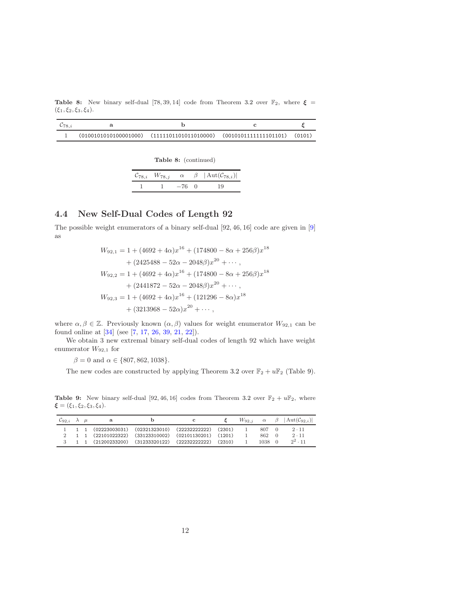<span id="page-11-0"></span>Table 8: New binary self-dual [78, 39, 14] code from Theorem [3.2](#page-5-1) over  $\mathbb{F}_2$ , where  $\xi =$  $(\xi_1, \xi_2, \xi_3, \xi_4).$ 

|  | $(0100101010100001000)$ $(11111011011011010000)$ $(0010101111111101101)$ $(0101)$ |  |
|--|-----------------------------------------------------------------------------------|--|

|  | Table 8: (continued) |
|--|----------------------|
|--|----------------------|

|  |       |          | $\mathcal{C}_{78,i}$ $W_{78,j}$ $\alpha$ $\beta$ $ \text{Aut}(\mathcal{C}_{78,i}) $ |
|--|-------|----------|-------------------------------------------------------------------------------------|
|  | $-76$ | $\Omega$ | 19                                                                                  |

### 4.4 New Self-Dual Codes of Length 92

The possible weight enumerators of a binary self-dual [92, 46, 16] code are given in [\[9](#page-15-6)] as

$$
W_{92,1} = 1 + (4692 + 4\alpha)x^{16} + (174800 - 8\alpha + 256\beta)x^{18}
$$
  
+ 
$$
(2425488 - 52\alpha - 2048\beta)x^{20} + \cdots,
$$
  

$$
W_{92,2} = 1 + (4692 + 4\alpha)x^{16} + (174800 - 8\alpha + 256\beta)x^{18}
$$
  
+ 
$$
(2441872 - 52\alpha - 2048\beta)x^{20} + \cdots,
$$
  

$$
W_{92,3} = 1 + (4692 + 4\alpha)x^{16} + (121296 - 8\alpha)x^{18}
$$
  
+ 
$$
(3213968 - 52\alpha)x^{20} + \cdots,
$$

where  $\alpha, \beta \in \mathbb{Z}$ . Previously known  $(\alpha, \beta)$  values for weight enumerator  $W_{92,1}$  can be found online at [\[34](#page-17-10)] (see [\[7](#page-15-8), [17](#page-16-5), [26](#page-17-14), [39,](#page-17-5) [21,](#page-16-14) [22](#page-16-11)]).

We obtain 3 new extremal binary self-dual codes of length 92 which have weight enumerator  $W_{92,1}$  for

 $\beta = 0$  and  $\alpha \in \{807, 862, 1038\}.$ 

The new codes are constructed by applying Theorem [3.2](#page-5-1) over  $\mathbb{F}_2 + u\mathbb{F}_2$  (Table [9\)](#page-11-1).

<span id="page-11-1"></span>Table 9: New binary self-dual [92, 46, 16] codes from Theorem [3.2](#page-5-1) over  $\mathbb{F}_2 + u\mathbb{F}_2$ , where  $\xi = (\xi_1, \xi_2, \xi_3, \xi_4).$ 

| $\mathcal{C}_{92,i}$ $\lambda$ $\mu$ |  |  |                                                          |  |       |        | $W_{92,i}$ $\alpha$ $\beta$ $ \text{Aut}(\mathcal{C}_{92,i}) $ |
|--------------------------------------|--|--|----------------------------------------------------------|--|-------|--------|----------------------------------------------------------------|
|                                      |  |  | $1$ 1 (02223003031) (02321323010) (22232222222) (2301)   |  | 807 0 |        | $2 \cdot 11$                                                   |
|                                      |  |  | 2 1 1 (22101022322) (33123310002) (02101130201) (1201)   |  | 862   | $\Box$ | $2 \cdot 11$                                                   |
|                                      |  |  | $3$ 1 1 (21200233200) (31233320122) (22232222222) (2310) |  | 1038  | - 0    | $2^2 \cdot 11$                                                 |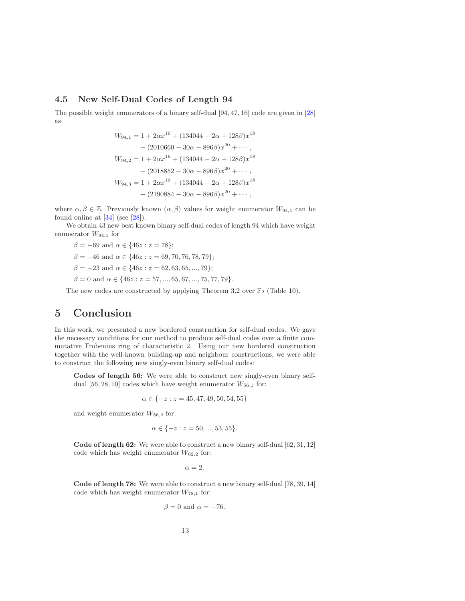### 4.5 New Self-Dual Codes of Length 94

The possible weight enumerators of a binary self-dual [94, 47, 16] code are given in [\[28](#page-17-15)] as

$$
W_{94,1} = 1 + 2\alpha x^{16} + (134044 - 2\alpha + 128\beta)x^{18}
$$
  
+ 
$$
(2010660 - 30\alpha - 896\beta)x^{20} + \cdots,
$$
  

$$
W_{94,2} = 1 + 2\alpha x^{16} + (134044 - 2\alpha + 128\beta)x^{18}
$$
  
+ 
$$
(2018852 - 30\alpha - 896\beta)x^{20} + \cdots,
$$
  

$$
W_{94,3} = 1 + 2\alpha x^{16} + (134044 - 2\alpha + 128\beta)x^{18}
$$
  
+ 
$$
(2190884 - 30\alpha - 896\beta)x^{20} + \cdots,
$$

where  $\alpha, \beta \in \mathbb{Z}$ . Previously known  $(\alpha, \beta)$  values for weight enumerator  $W_{94,1}$  can be found online at  $[34]$  (see  $[28]$ ).

We obtain 43 new best known binary self-dual codes of length 94 which have weight enumerator  $W_{94,1}$  for

$$
\beta = -69 \text{ and } \alpha \in \{46z : z = 78\};
$$
  
\n
$$
\beta = -46 \text{ and } \alpha \in \{46z : z = 69, 70, 76, 78, 79\};
$$
  
\n
$$
\beta = -23 \text{ and } \alpha \in \{46z : z = 62, 63, 65, ..., 79\};
$$
  
\n
$$
\beta = 0 \text{ and } \alpha \in \{46z : z = 57, ..., 65, 67, ..., 75, 77, 79\}.
$$

The new codes are constructed by applying Theorem [3.2](#page-5-1) over  $\mathbb{F}_2$  (Table [10\)](#page-13-0).

## 5 Conclusion

In this work, we presented a new bordered construction for self-dual codes. We gave the necessary conditions for our method to produce self-dual codes over a finite commutative Frobenius ring of characteristic 2. Using our new bordered construction together with the well-known building-up and neighbour constructions, we were able to construct the following new singly-even binary self-dual codes:

Codes of length 56: We were able to construct new singly-even binary selfdual [56, 28, 10] codes which have weight enumerator  $W_{56,1}$  for:

$$
\alpha \in \{-z : z = 45, 47, 49, 50, 54, 55\}
$$

and weight enumerator  $W_{56,2}$  for:

$$
\alpha \in \{-z : z = 50, ..., 53, 55\}.
$$

Code of length 62: We were able to construct a new binary self-dual [62, 31, 12] code which has weight enumerator  $W_{62,2}$  for:

 $\alpha = 2.$ 

Code of length 78: We were able to construct a new binary self-dual [78, 39, 14] code which has weight enumerator  $W_{78,1}$  for:

$$
\beta = 0 \text{ and } \alpha = -76.
$$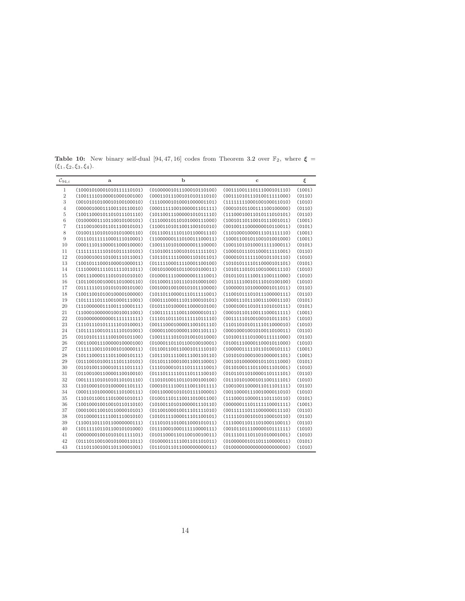| $\mathcal{C}_{94,i}$ | a                         | b                         | с                         | ξ      |
|----------------------|---------------------------|---------------------------|---------------------------|--------|
| $\mathbf{1}$         | (10001010001010111110101) | (01000001011100010110100) | (00111001110111000101110) | (1001) |
| $\,2$                | (10011110100001000100100) | (00011011100101010111010) | (00111010111010011111000) | (0110) |
| 3                    | (00101010100010100100010) | (11100001010001000001101) | (11111111000100100011010) | (1010) |
| $\overline{4}$       | (00000100011100110110010) | (00011111001000001101111) | (00010101100111100100000) | (0110) |
| 5                    | (10011000101101011101110) | (10110011100000101011110) | (11100010011010111010101) | (0110) |
| 6                    | (01000001110110010100101) | (11100010110101000111000) | (10010110110010111001011) | (1001) |
| 7                    | (11100100101101110010101) | (11001101011001100101010) | (00100111000000010110011) | (0101) |
| 8                    | (01001110101010101000110) | (01110011110110110001110) | (11010001000011101111110) | (1001) |
| 9                    | (01110111111000111010001) | (11000000111010011100011) | (10001100101100101001000) | (1001) |
| 10                   | (00011101100001100010000) | (10011101010000001110000) | (10011011010001111100011) | (0101) |
| 11                   | (11111111110101011110101) | (11010011100101011111101) | (10001011101100011111001) | (0110) |
| 12                   | (01000100110100111011001) | (10110111110000110101101) | (00001011111100101101110) | (1010) |
| $13\,$               | (10010111000100001000011) | (01111100011110001100100) | (10101011110110000101101) | (0101) |
| 14                   | (11100001111011111011011) | (00101000010110010100011) | (10101110101100100011110) | (1010) |
| 15                   | (00111000011101010101010) | (01000111100000001111001) | (01011011110011100111000) | (1010) |
| 16                   | (10110010010001101000110) | (01100011101110101000100) | (10111110010111010100100) | (1010) |
| 17                   | (01111110110101010010100) | (00100010010010101110000) | (10000011010000001011011) | (0110) |
| 18                   | (10011001010010000100000) | (10110110000111011111001) | (11001011101011100000111) | (0110) |
| 19                   | (10111110111001000111001) | (00011100011101100010101) | (10001110111001110001110) | (0101) |
| 20                   | (11100000011100111000111) | (01011101000011000010100) | (10001001101011101010111) | (0101) |
| 21                   | (11000100000010010011001) | (10011111110011000001011) | (00010110110011100011111) | (1001) |
| 22                   | (0100000000000111111111)  | (11101101110111111011110) | (00111110100100101011101) | (1010) |
| 23                   | (11101110101111101010001) | (00111000100001100101110) | (11011010101111011000010) | (1010) |
| 24                   | (10111110010111110101001) | (00001100100001100110111) | (00010001001010011010011) | (0110) |
| 25                   | (01101011111100100101100) | (10011111010101001011000) | (10100111101000111111000) | (0110) |
| 26                   | (00110001110000010000100) | (01000110110110010010001) | (01001110000110001011000) | (1010) |
| 27                   | (11111100110100101000011) | (01100110011000101111010) | (10000011111011010010111) | (1001) |
| 28                   | (10111000111101100010111) | (10111011110011100110110) | (10101010001001000001101) | (1001) |
| $\,29$               | (01110010100111101110101) | (01101110001001100110001) | (00110100000010110111000) | (0101) |
| 30                   | (01101001100010111101111) | (11101000101110111111001) | (01101001110110011101001) | (1010) |
| 31                   | (01100100110000110010010) | (01110111110111011110010) | (01011011010000110111101) | (0110) |
| 32                   | (00111110101010110101110) | (11010100110110100100100) | (01110101000101100111101) | (1010) |
| $33\,$               | (11010001010100000110111) | (00010111100111001101111) | (10010011000011011101111) | (0110) |
| 34                   | (00011101000001110100111) | (00110000101010111100001) | (00110000111001000011010) | (1010) |
| 35                   | (11010110011101000101011) | (01001110111001101001100) | (11100011000011101110110) | (0101) |
| 36                   | (10010001001001011011010) | (10100110101000001110110) | (00000011101111110001111) | (1001) |
| 37                   | (00010011001011000010101) | (01100100010011101111010) | (00111111011100000011110) | (0110) |
| $38\,$               | (01100001111100111001010) | (10101111000011101100101) | (11111010010101100010110) | (0110) |
| 39                   | (11001101110110000000111) | (11101011010011000101011) | (11100011011101000110011) | (0110) |
| 40                   | (10111110110110010101000) | (01110001000111110000111) | (00101101110000010111111) | (1010) |
| 41                   | (00000001001010101111101) | (01011000110110010010011) | (01111011101101010001001) | (1010) |
| 42                   | (01110110010010100011011) | (01000011111001101101011) | (01000000101101110000011) | (0101) |
| 43                   | (11101100100110110001001) | (01101011011000000000011) | (0100000000000000000000)  | (1010) |

<span id="page-13-0"></span>Table 10: New binary self-dual [94, 47, 16] codes from Theorem [3.2](#page-5-1) over  $\mathbb{F}_2$ , where  $\xi =$  $(\xi_1, \xi_2, \xi_3, \xi_4).$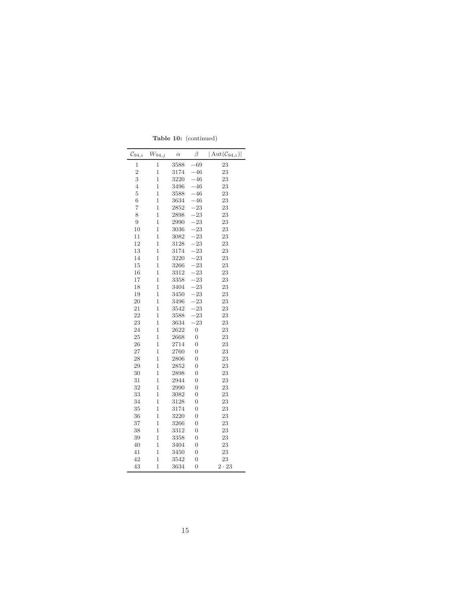| $\mathcal{C}_{94,i}$ | $W_{94,j}$     | $\alpha$ | β              | $ \mathrm{Aut}(\mathcal{C}_{94,i}) $ |
|----------------------|----------------|----------|----------------|--------------------------------------|
| $\mathbf{1}$         | $\mathbf{1}$   | 3588     | $-69$          | 23                                   |
| $\overline{2}$       | $\mathbf{1}$   | 3174     | $-46$          | 23                                   |
| 3                    | $\overline{1}$ | 3220     | $-46$          | 23                                   |
| $\overline{4}$       | $\overline{1}$ | 3496     | $-46$          | 23                                   |
| $\overline{5}$       | 1              | 3588     | $-46$          | 23                                   |
| $\overline{6}$       | $\mathbf{1}$   | 3634     | $-46$          | 23                                   |
| $\overline{7}$       | 1              | 2852     | $-23$          | 23                                   |
| 8                    | $\mathbf{1}$   | 2898     | $-23$          | 23                                   |
| 9                    | 1              | 2990     | $-23$          | 23                                   |
| 10                   | $\mathbf{1}$   | 3036     | -23            | 23                                   |
| 11                   | $\mathbf{1}$   | 3082     | $-23$          | 23                                   |
| 12                   | $\mathbf{1}$   | 3128     | $-23$          | 23                                   |
| 13                   | 1              | 3174     | $-23$          | 23                                   |
| 14                   | $\mathbf{1}$   | 3220     | $-23$          | 23                                   |
| 15                   | $\mathbf{1}$   | 3266     | $-23$          | 23                                   |
| 16                   | $\mathbf{1}$   | 3312     | 23             | 23                                   |
| 17                   | 1              | 3358     | $-23$          | 23                                   |
| 18                   | $\mathbf{1}$   | 3404     | $-23$          | 23                                   |
| 19                   | $\mathbf{1}$   | 3450     | $-23$          | 23                                   |
| 20                   | $\mathbf{1}$   | 3496     | $-23$          | 23                                   |
| 21                   | $\overline{1}$ | 3542     | $-23$          | 23                                   |
| 22                   | $\mathbf{1}$   | 3588     | $-23$          | 23                                   |
| 23                   | 1              | 3634     | $-23$          | 23                                   |
| 24                   | $\mathbf{1}$   | 2622     | $\overline{0}$ | 23                                   |
| 25                   | $\mathbf{1}$   | 2668     | $\overline{0}$ | 23                                   |
| 26                   | $\mathbf{1}$   | 2714     | $\overline{0}$ | 23                                   |
| 27                   | $\overline{1}$ | 2760     | $\overline{0}$ | 23                                   |
| 28                   | 1              | 2806     | $\overline{0}$ | 23                                   |
| 29                   | $\mathbf{1}$   | 2852     | $\overline{0}$ | 23                                   |
| 30                   | 1              | 2898     | 0              | 23                                   |
| 31                   | $\mathbf{1}$   | 2944     | $\overline{0}$ | 23                                   |
| 32                   | $\overline{1}$ | 2990     | $\overline{0}$ | 23                                   |
| 33                   | $\overline{1}$ | 3082     | $\overline{0}$ | 23                                   |
| 34                   | $\mathbf{1}$   | 3128     | 0              | 23                                   |
| 35                   | $\mathbf{1}$   | 3174     | 0              | 23                                   |
| 36                   | 1              | 3220     | $\overline{0}$ | 23                                   |
| 37                   | 1              | 3266     | $\overline{0}$ | 23                                   |
| 38                   | $\overline{1}$ | 3312     | 0              | 23                                   |
| 39                   | $\mathbf{1}$   | 3358     | $\overline{0}$ | 23                                   |
| 40                   | 1              | 3404     | 0              | 23                                   |
| 41                   | $\mathbf{1}$   | 3450     | $\overline{0}$ | 23                                   |
| 42                   | 1              | 3542     | $\overline{0}$ | 23                                   |
| 43                   | $\mathbf{1}$   | 3634     | 0              | $2 \cdot 23$                         |

Table 10: (continued)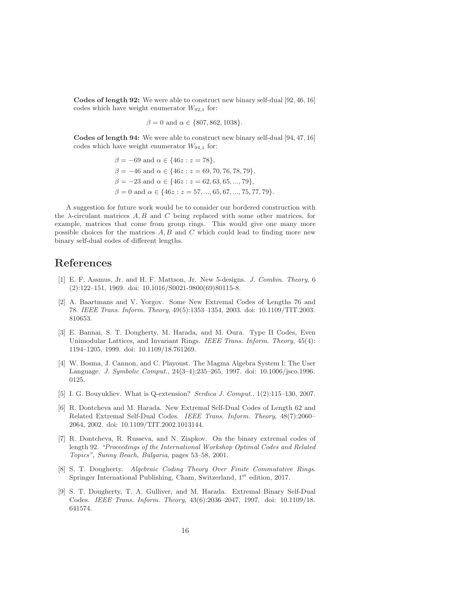Codes of length 92: We were able to construct new binary self-dual [92, 46, 16] codes which have weight enumerator  $W_{92,1}$  for:

$$
\beta = 0 \text{ and } \alpha \in \{807, 862, 1038\}.
$$

Codes of length 94: We were able to construct new binary self-dual [94, 47, 16] codes which have weight enumerator  $W_{94,1}$  for:

$$
\beta = -69 \text{ and } \alpha \in \{46z : z = 78\},
$$
  
\n
$$
\beta = -46 \text{ and } \alpha \in \{46z : z = 69, 70, 76, 78, 79\},
$$
  
\n
$$
\beta = -23 \text{ and } \alpha \in \{46z : z = 62, 63, 65, ..., 79\},
$$
  
\n
$$
\beta = 0 \text{ and } \alpha \in \{46z : z = 57, ..., 65, 67, ..., 75, 77, 79\}.
$$

A suggestion for future work would be to consider our bordered construction with the  $\lambda$ -circulant matrices  $A, B$  and  $C$  being replaced with some other matrices, for example, matrices that come from group rings. This would give one many more possible choices for the matrices  $A, B$  and  $C$  which could lead to finding more new binary self-dual codes of different lengths.

### References

- <span id="page-15-0"></span>[1] E. F. Assmus, Jr. and H. F. Mattson, Jr. New 5-designs. J. Combin. Theory, 6 (2):122–151, 1969. doi: 10.1016/S0021-9800(69)80115-8.
- <span id="page-15-7"></span>[2] A. Baartmans and V. Yorgov. Some New Extremal Codes of Lengths 76 and 78. IEEE Trans. Inform. Theory, 49(5):1353–1354, 2003. doi: 10.1109/TIT.2003. 810653.
- <span id="page-15-1"></span>[3] E. Bannai, S. T. Dougherty, M. Harada, and M. Oura. Type II Codes, Even Unimodular Lattices, and Invariant Rings. IEEE Trans. Inform. Theory, 45(4): 1194–1205, 1999. doi: 10.1109/18.761269.
- <span id="page-15-3"></span>[4] W. Bosma, J. Cannon, and C. Playoust. The Magma Algebra System I: The User Language. J. Symbolic Comput., 24(3–4):235–265, 1997. doi: 10.1006/jsco.1996. 0125.
- <span id="page-15-4"></span>[5] I. G. Bouyukliev. What is Q-extension? Serdica J. Comput., 1(2):115–130, 2007.
- <span id="page-15-5"></span>[6] R. Dontcheva and M. Harada. New Extremal Self-Dual Codes of Length 62 and Related Extremal Self-Dual Codes. IEEE Trans. Inform. Theory, 48(7):2060– 2064, 2002. doi: 10.1109/TIT.2002.1013144.
- <span id="page-15-8"></span>[7] R. Dontcheva, R. Russeva, and N. Ziapkov. On the binary extremal codes of length 92. "Proceedings of the International Workshop Optimal Codes and Related Topics", Sunny Beach, Bulgaria, pages 53–58, 2001.
- <span id="page-15-2"></span>[8] S. T. Dougherty. Algebraic Coding Theory Over Finite Commutative Rings. Springer International Publishing, Cham, Switzerland, 1<sup>st</sup> edition, 2017.
- <span id="page-15-6"></span>[9] S. T. Dougherty, T. A. Gulliver, and M. Harada. Extremal Binary Self-Dual Codes. IEEE Trans. Inform. Theory, 43(6):2036–2047, 1997. doi: 10.1109/18. 641574.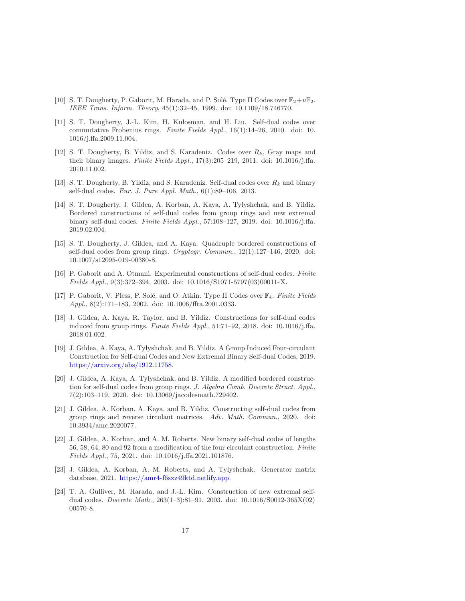- <span id="page-16-4"></span>[10] S. T. Dougherty, P. Gaborit, M. Harada, and P. Solé. Type II Codes over  $\mathbb{F}_2+u\mathbb{F}_2$ . IEEE Trans. Inform. Theory, 45(1):32–45, 1999. doi: 10.1109/18.746770.
- <span id="page-16-8"></span>[11] S. T. Dougherty, J.-L. Kim, H. Kulosman, and H. Liu. Self-dual codes over commutative Frobenius rings. Finite Fields Appl.,  $16(1)$ :14–26, 2010. doi: 10. 1016/j.ffa.2009.11.004.
- <span id="page-16-6"></span>[12] S. T. Dougherty, B. Yildiz, and S. Karadeniz. Codes over  $R_k$ , Gray maps and their binary images. Finite Fields Appl.,  $17(3):205-219$ , 2011. doi:  $10.1016/j$ .ffa. 2010.11.002.
- <span id="page-16-7"></span>[13] S. T. Dougherty, B. Yildiz, and S. Karadeniz. Self-dual codes over  $R_k$  and binary self-dual codes. Eur. J. Pure Appl. Math., 6(1):89–106, 2013.
- <span id="page-16-2"></span>[14] S. T. Dougherty, J. Gildea, A. Korban, A. Kaya, A. Tylyshchak, and B. Yildiz. Bordered constructions of self-dual codes from group rings and new extremal binary self-dual codes. Finite Fields Appl., 57:108–127, 2019. doi: 10.1016/j.ffa. 2019.02.004.
- <span id="page-16-1"></span>[15] S. T. Dougherty, J. Gildea, and A. Kaya. Quadruple bordered constructions of self-dual codes from group rings.  $Cryptogr.$   $Common, 12(1):127–146, 2020.$  doi: 10.1007/s12095-019-00380-8.
- <span id="page-16-13"></span>[16] P. Gaborit and A. Otmani. Experimental constructions of self-dual codes. Finite Fields Appl., 9(3):372–394, 2003. doi: 10.1016/S1071-5797(03)00011-X.
- <span id="page-16-5"></span>[17] P. Gaborit, V. Pless, P. Solé, and O. Atkin. Type II Codes over  $\mathbb{F}_4$ . Finite Fields Appl., 8(2):171–183, 2002. doi: 10.1006/ffta.2001.0333.
- <span id="page-16-0"></span>[18] J. Gildea, A. Kaya, R. Taylor, and B. Yildiz. Constructions for self-dual codes induced from group rings. Finite Fields Appl., 51:71-92, 2018. doi: 10.1016/j.ffa. 2018.01.002.
- <span id="page-16-10"></span>[19] J. Gildea, A. Kaya, A. Tylyshchak, and B. Yildiz. A Group Induced Four-circulant Construction for Self-dual Codes and New Extremal Binary Self-dual Codes, 2019. [https://arxiv.org/abs/1912.11758.](https://arxiv.org/abs/1912.11758)
- <span id="page-16-3"></span>[20] J. Gildea, A. Kaya, A. Tylyshchak, and B. Yildiz. A modified bordered construction for self-dual codes from group rings. J. Algebra Comb. Discrete Struct. Appl., 7(2):103–119, 2020. doi: 10.13069/jacodesmath.729402.
- <span id="page-16-14"></span>[21] J. Gildea, A. Korban, A. Kaya, and B. Yildiz. Constructing self-dual codes from group rings and reverse circulant matrices. Adv. Math. Commun., 2020. doi: 10.3934/amc.2020077.
- <span id="page-16-11"></span>[22] J. Gildea, A. Korban, and A. M. Roberts. New binary self-dual codes of lengths 56, 58, 64, 80 and 92 from a modification of the four circulant construction. Finite Fields Appl., 75, 2021. doi: 10.1016/j.ffa.2021.101876.
- <span id="page-16-9"></span>[23] J. Gildea, A. Korban, A. M. Roberts, and A. Tylyshchak. Generator matrix database, 2021. [https://amr4-f6sxz49ktd.netlify.app.](https://amr4-f6sxz49ktd.netlify.app)
- <span id="page-16-12"></span>[24] T. A. Gulliver, M. Harada, and J.-L. Kim. Construction of new extremal selfdual codes. Discrete Math., 263(1–3):81–91, 2003. doi: 10.1016/S0012-365X(02) 00570-8.